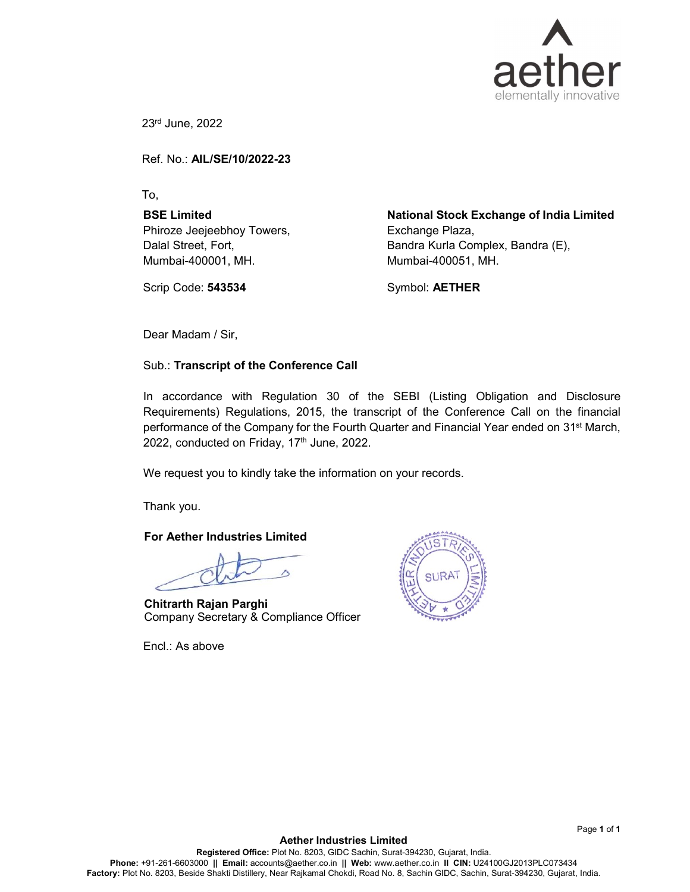

23rd June, 2022

Ref. No.: AIL/SE/10/2022-23

To,

BSE Limited Phiroze Jeejeebhoy Towers, Dalal Street, Fort, Mumbai-400001, MH.

Scrip Code: 543534

National Stock Exchange of India Limited Exchange Plaza, Bandra Kurla Complex, Bandra (E), Mumbai-400051, MH.

Symbol: AETHER

Dear Madam / Sir,

## Sub.: Transcript of the Conference Call

In accordance with Regulation 30 of the SEBI (Listing Obligation and Disclosure Requirements) Regulations, 2015, the transcript of the Conference Call on the financial performance of the Company for the Fourth Quarter and Financial Year ended on 31<sup>st</sup> March, 2022, conducted on Friday,  $17<sup>th</sup>$  June, 2022.

We request you to kindly take the information on your records.

Thank you.

#### For Aether Industries Limited

Chitrarth Rajan Parghi Company Secretary & Compliance Officer

Encl.: As above

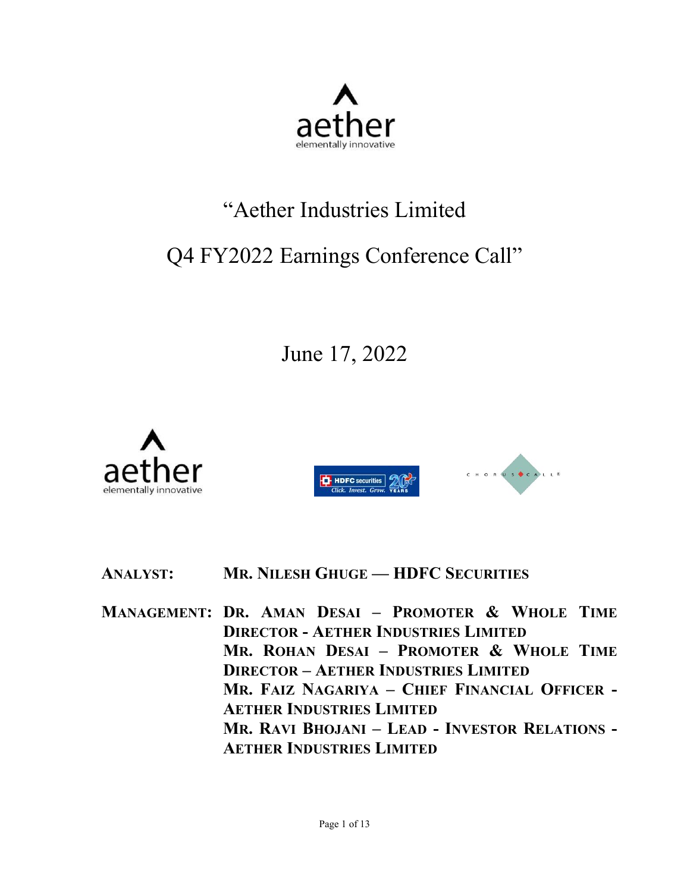

# "Aether Industries Limited

# Q4 FY2022 Earnings Conference Call"

June 17, 2022





# **ANALYST: MR. NILESH GHUGE — HDFC SECURITIES**

**MANAGEMENT: DR. AMAN DESAI – PROMOTER & WHOLE TIME DIRECTOR - AETHER INDUSTRIES LIMITED MR. ROHAN DESAI – PROMOTER & WHOLE TIME DIRECTOR – AETHER INDUSTRIES LIMITED MR. FAIZ NAGARIYA – CHIEF FINANCIAL OFFICER - AETHER INDUSTRIES LIMITED MR. RAVI BHOJANI – LEAD - INVESTOR RELATIONS - AETHER INDUSTRIES LIMITED**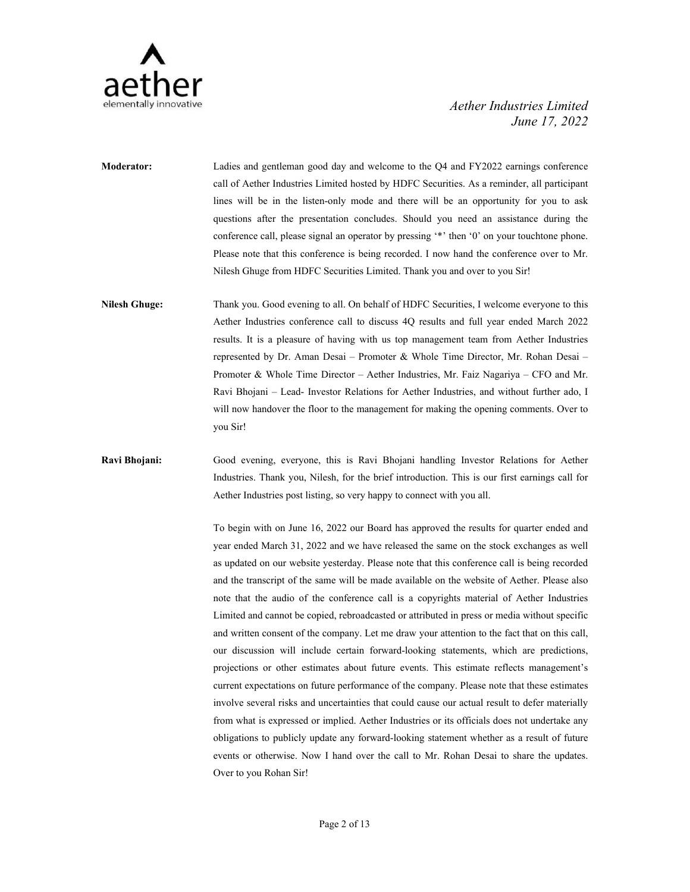

- **Moderator:** Ladies and gentleman good day and welcome to the Q4 and FY2022 earnings conference call of Aether Industries Limited hosted by HDFC Securities. As a reminder, all participant lines will be in the listen-only mode and there will be an opportunity for you to ask questions after the presentation concludes.Should you need an assistance during the conference call, please signal an operator by pressing '\*' then '0' on your touchtone phone. Please note that this conference is being recorded. I now hand the conference over to Mr. Nilesh Ghuge from HDFC Securities Limited.Thank you and over to you Sir!
- **Nilesh Ghuge:** Thank you. Good evening to all. On behalf of HDFC Securities, I welcome everyone to this Aether Industries conference call to discuss 4Q results and full year ended March 2022 results. It is a pleasure of having with us top management team from Aether Industries represented by Dr. Aman Desai – Promoter & Whole Time Director, Mr. Rohan Desai – Promoter & Whole Time Director – Aether Industries, Mr. Faiz Nagariya – CFO and Mr. Ravi Bhojani – Lead- Investor Relations for Aether Industries, and without further ado, I will now handover the floor to the management for making the opening comments. Over to you Sir!

# **Ravi Bhojani:** Good evening, everyone, this is Ravi Bhojani handling Investor Relations for Aether Industries. Thank you, Nilesh, for the brief introduction. This is our first earnings call for Aether Industries post listing, so very happy to connect with you all.

To begin with on June 16, 2022 our Board has approved the results for quarter ended and year ended March 31, 2022 and we have released the same on the stock exchanges as well as updated on our website yesterday. Please note that this conference call is being recorded and the transcript of the same will be made available on the website of Aether. Please also note that the audio of the conference call is a copyrights material of Aether Industries Limited and cannot be copied, rebroadcasted or attributed in press or media without specific and written consent of the company. Let me draw your attention to the fact that on this call, our discussion will include certain forward-looking statements, which are predictions, projections or other estimates about future events. This estimate reflects management's current expectations on future performance of the company. Please note that these estimates involve several risks and uncertainties that could cause our actual result to defer materially from what is expressed or implied.Aether Industries or its officials does not undertake any obligations to publicly update any forward-looking statement whether as a result of future events or otherwise. Now I hand over the call to Mr. Rohan Desai to share the updates. Over to you Rohan Sir!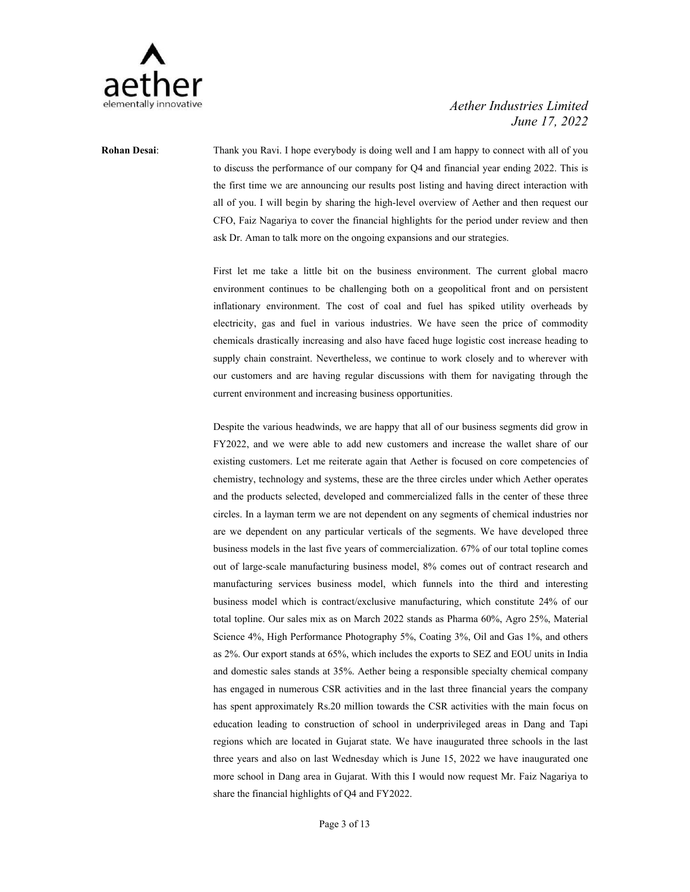

**Rohan Desai**: Thank you Ravi. I hope everybody is doing well and I am happy to connect with all of you to discuss the performance of our company for Q4 and financial year ending 2022. This is the first time we are announcing our results post listing and having direct interaction with all of you. I will begin by sharing the high-level overview of Aether and then request our CFO, Faiz Nagariya to cover the financial highlights for the period under review and then ask Dr. Aman to talk more on the ongoing expansions and our strategies.

> First let me take a little bit on the business environment. The current global macro environment continues to be challenging both on a geopolitical front and on persistent inflationary environment. The cost of coal and fuel has spiked utility overheads by electricity, gas and fuel in various industries. We have seen the price of commodity chemicals drastically increasing and also have faced huge logistic cost increase heading to supply chain constraint. Nevertheless, we continue to work closely and to wherever with our customers and are having regular discussions with them for navigating through the current environment and increasing business opportunities.

> Despite the various headwinds, we are happy that all of our business segments did grow in FY2022, and we were able to add new customers and increase the wallet share of our existing customers. Let me reiterate again that Aether is focused on core competencies of chemistry, technology and systems, these are the three circles under which Aether operates and the products selected, developed and commercialized falls in the center of these three circles. In a layman term we are not dependent on any segments of chemical industries nor are we dependent on any particular verticals of the segments. We have developed three business models in the last five years of commercialization. 67% of our total topline comes out of large-scale manufacturing business model, 8% comes out of contract research and manufacturing services business model, which funnels into the third and interesting business model which is contract/exclusive manufacturing, which constitute 24% of our total topline. Our sales mix as on March 2022 stands as Pharma 60%, Agro 25%, Material Science 4%, High Performance Photography 5%, Coating 3%, Oil and Gas 1%, and others as 2%. Our export stands at 65%, which includes the exports to SEZ and EOU units in India and domestic sales stands at 35%. Aether being a responsible specialty chemical company has engaged in numerous CSR activities and in the last three financial years the company has spent approximately Rs.20 million towards the CSR activities with the main focus on education leading to construction of school in underprivileged areas in Dang and Tapi regions which are located in Gujarat state. We have inaugurated three schools in the last three years and also on last Wednesday which is June 15, 2022 we have inaugurated one more school in Dang area in Gujarat. With this I would now request Mr. Faiz Nagariya to share the financial highlights of Q4 and FY2022.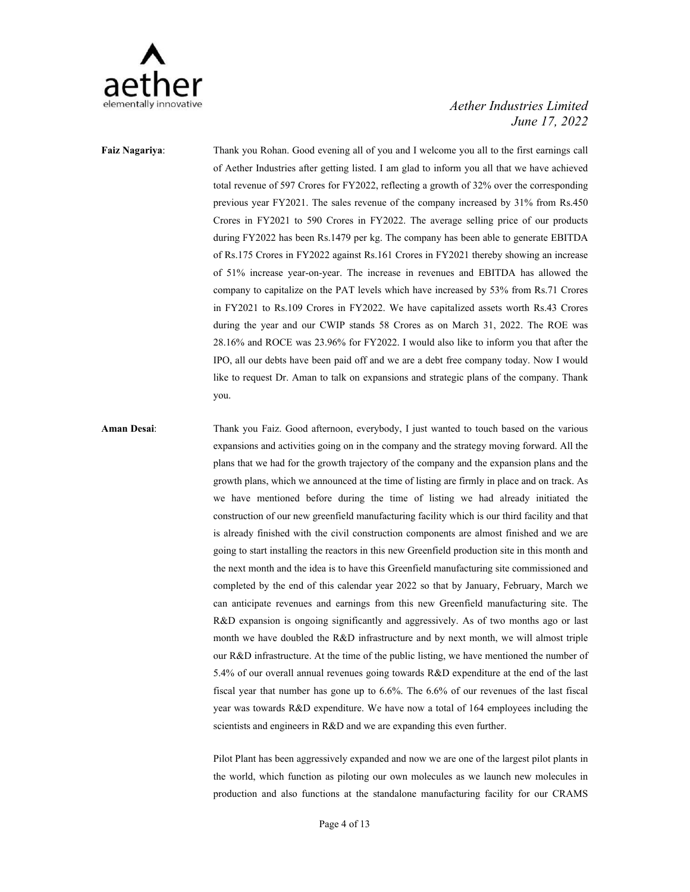

**Faiz Nagariya**: Thank you Rohan. Good evening all of you and I welcome you all to the first earnings call of Aether Industries after getting listed. I am glad to inform you all that we have achieved total revenue of 597 Crores for FY2022, reflecting a growth of 32% over the corresponding previous year FY2021. The sales revenue of the company increased by 31% from Rs.450 Crores in FY2021 to 590 Crores in FY2022. The average selling price of our products during FY2022 has been Rs.1479 per kg. The company has been able to generate EBITDA of Rs.175 Crores in FY2022 against Rs.161 Crores in FY2021 thereby showing an increase of 51% increase year-on-year. The increase in revenues and EBITDA has allowed the company to capitalize on the PAT levels which have increased by 53% from Rs.71 Crores in FY2021 to Rs.109 Crores in FY2022. We have capitalized assets worth Rs.43 Crores during the year and our CWIP stands 58 Crores as on March 31, 2022. The ROE was 28.16% and ROCE was 23.96% for FY2022. I would also like to inform you that after the IPO, all our debts have been paid off and we are a debt free company today. Now I would like to request Dr. Aman to talk on expansions and strategic plans of the company. Thank you.

**Aman Desai**: Thank you Faiz. Good afternoon, everybody, I just wanted to touch based on the various expansions and activities going on in the company and the strategy moving forward. All the plans that we had for the growth trajectory of the company and the expansion plans and the growth plans, which we announced at the time of listing are firmly in place and on track. As we have mentioned before during the time of listing we had already initiated the construction of our new greenfield manufacturing facility which is our third facility and that is already finished with the civil construction components are almost finished and we are going to start installing the reactors in this new Greenfield production site in this month and the next month and the idea is to have this Greenfield manufacturing site commissioned and completed by the end of this calendar year 2022 so that by January, February, March we can anticipate revenues and earnings from this new Greenfield manufacturing site. The R&D expansion is ongoing significantly and aggressively. As of two months ago or last month we have doubled the R&D infrastructure and by next month, we will almost triple our R&D infrastructure. At the time of the public listing, we have mentioned the number of 5.4% of our overall annual revenues going towards R&D expenditure at the end of the last fiscal year that number has gone up to 6.6%. The 6.6% of our revenues of the last fiscal year was towards R&D expenditure. We have now a total of 164 employees including the scientists and engineers in R&D and we are expanding this even further.

> Pilot Plant has been aggressively expanded and now we are one of the largest pilot plants in the world, which function as piloting our own molecules as we launch new molecules in production and also functions at the standalone manufacturing facility for our CRAMS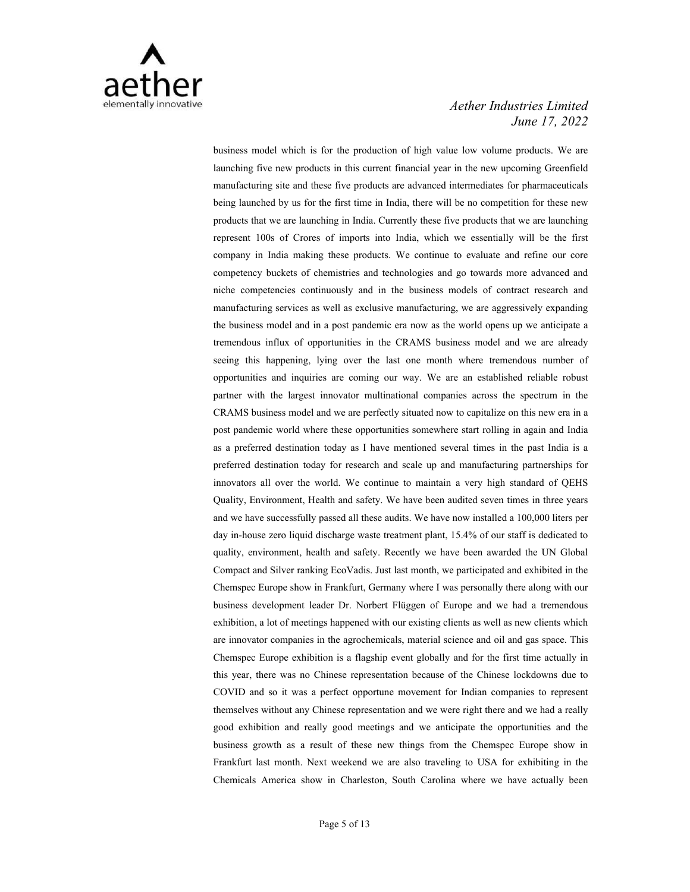

business model which is for the production of high value low volume products. We are launching five new products in this current financial year in the new upcoming Greenfield manufacturing site and these five products are advanced intermediates for pharmaceuticals being launched by us for the first time in India, there will be no competition for these new products that we are launching in India. Currently these five products that we are launching represent 100s of Crores of imports into India, which we essentially will be the first company in India making these products. We continue to evaluate and refine our core competency buckets of chemistries and technologies and go towards more advanced and niche competencies continuously and in the business models of contract research and manufacturing services as well as exclusive manufacturing, we are aggressively expanding the business model and in a post pandemic era now as the world opens up we anticipate a tremendous influx of opportunities in the CRAMS business model and we are already seeing this happening, lying over the last one month where tremendous number of opportunities and inquiries are coming our way. We are an established reliable robust partner with the largest innovator multinational companies across the spectrum in the CRAMS business model and we are perfectly situated now to capitalize on this new era in a post pandemic world where these opportunities somewhere start rolling in again and India as a preferred destination today as I have mentioned several times in the past India is a preferred destination today for research and scale up and manufacturing partnerships for innovators all over the world. We continue to maintain a very high standard of QEHS Quality, Environment, Health and safety.We have been audited seven times in three years and we have successfully passed all these audits. We have now installed a 100,000 liters per day in-house zero liquid discharge waste treatment plant, 15.4% of our staff is dedicated to quality, environment, health and safety. Recently we have been awarded the UN Global Compact and Silver ranking EcoVadis. Just last month, we participated and exhibited in the Chemspec Europe show in Frankfurt, Germany where I was personally there along with our business development leader Dr. Norbert Flüggen of Europe and we had a tremendous exhibition, a lot of meetings happened with our existing clients as well as new clients which are innovator companies in the agrochemicals, material science and oil and gas space. This Chemspec Europe exhibition is a flagship event globally and for the first time actually in this year, there was no Chinese representation because of the Chinese lockdowns due to COVID and so it was a perfect opportune movement for Indian companies to represent themselves without any Chinese representation and we were right there and we had a really good exhibition and really good meetings and we anticipate the opportunities and the business growth as a result of these new things from the Chemspec Europe show in Frankfurt last month. Next weekend we are also traveling to USA for exhibiting in the Chemicals America show in Charleston, South Carolina where we have actually been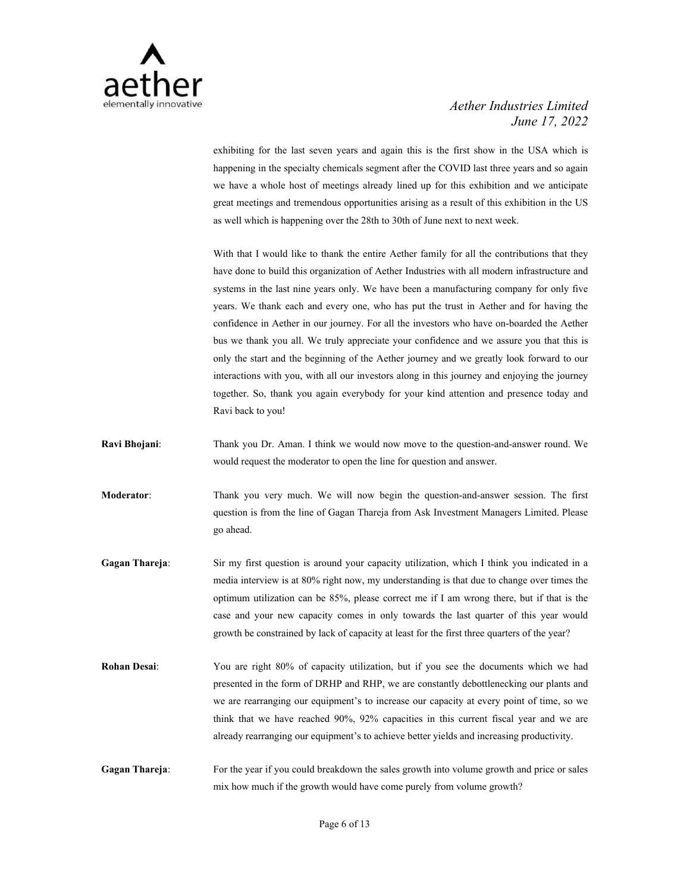

exhibiting for the last seven years and again this is the first show in the USA which is happening in the specialty chemicals segment after the COVID last three years and so again we have a whole host of meetings already lined up for this exhibition and we anticipate great meetings and tremendous opportunities arising as a result of this exhibition in the US as well which is happening over the 28th to 30th of June next to next week.

With that I would like to thank the entire Aether family for all the contributions that they have done to build this organization of Aether Industries with all modern infrastructure and systems in the last nine years only. We have been a manufacturing company for only five years. We thank each and every one, who has put the trust in Aether and for having the confidence in Aether in our journey. For all the investors who have on-boarded the Aether bus we thank you all. We truly appreciate your confidence and we assure you that this is only the start and the beginning of the Aether journey and we greatly look forward to our interactions with you, with all our investors along in this journey and enjoying the journey together. So, thank you again everybody for your kind attention and presence today and Ravi back to you!

- **Ravi Bhojani**: Thank you Dr. Aman. I think we would now move to the question-and-answer round. We would request the moderator to open the line for question and answer.
- **Moderator**: Thank you very much. We will now begin the question-and-answer session. The first question is from the line of Gagan Thareja from Ask Investment Managers Limited. Please go ahead.
- **Gagan Thareja**: Sir my first question is around your capacity utilization, which I think you indicated in a media interview is at 80% right now, my understanding is that due to change over times the optimum utilization can be 85%, please correct me if I am wrong there, butif that is the case and your new capacity comes in only towards the last quarter of this year would growth be constrained by lack of capacity at least for the first three quarters of the year?
- **Rohan Desai:** You are right 80% of capacity utilization, but if you see the documents which we had presented in the form of DRHP and RHP, we are constantly debottlenecking our plants and we are rearranging our equipment's to increase our capacity at every point of time, so we think that we have reached 90%, 92% capacities in this current fiscal year and we are already rearranging our equipment's to achieve better yields and increasing productivity.
- **Gagan Thareja:** For the year if you could breakdown the sales growth into volume growth and price or sales mix how much if the growth would have come purely from volume growth?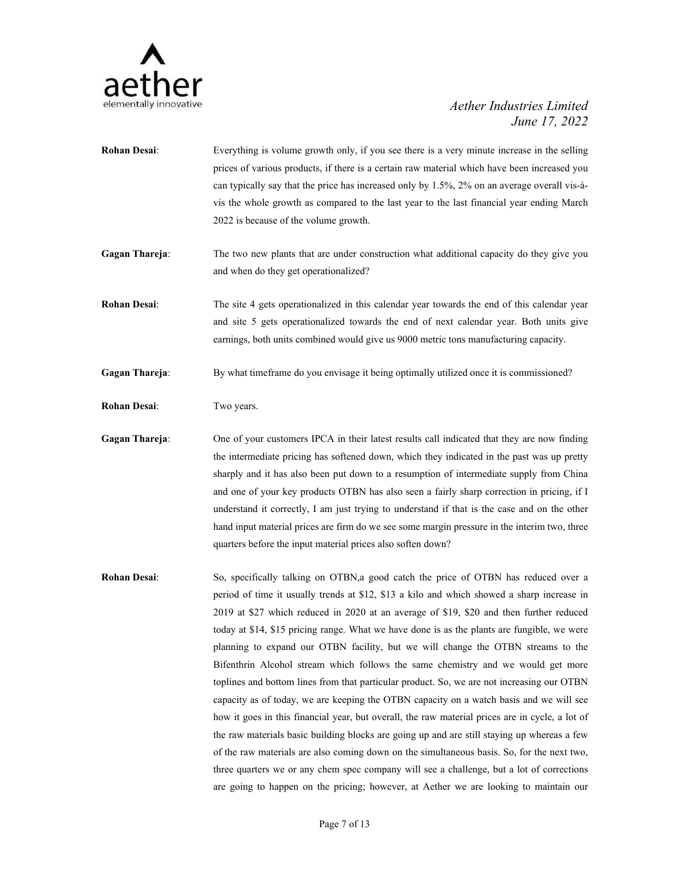

- **Rohan Desai:** Everything is volume growth only, if you see there is a very minute increase in the selling prices of various products, if there is a certain raw material which have been increased you can typically say that the price has increased only by 1.5%, 2% on an average overall vis-à vis the whole growth as compared to the last year to the last financial year ending March 2022 is because of the volume growth.
- **Gagan Thareja:** The two new plants that are under construction what additional capacity do they give you and when do they get operationalized?
- **Rohan Desai**: The site 4 gets operationalized in this calendar year towards the end of this calendar year and site 5 gets operationalized towards the end of next calendar year. Both units give earnings, both units combined would give us 9000 metric tons manufacturing capacity.

**Gagan Thareja**: By what timeframe do you envisage it being optimally utilized once it is commissioned?

**Rohan Desai**: Two years.

- **Gagan Thareja**: One of your customers IPCA in their latest results call indicated that they are now finding the intermediate pricing has softened down, which they indicated in the past was up pretty sharply and it has also been put down to a resumption of intermediate supply from China and one of your key products OTBN has also seen a fairly sharp correction in pricing, if I understand it correctly, I am just trying to understand if that is the case and on the other hand input material prices are firm do we see some margin pressure in the interim two, three quarters before the input material prices also soften down?
- **Rohan Desai**: So, specifically talking on OTBN,a good catch the price of OTBN has reduced over a period of time itusually trends at \$12, \$13 a kilo and which showed a sharp increase in  $2019$  at \$27 which reduced in  $2020$  at an average of \$19, \$20 and then further reduced today at \$14, \$15 pricing range. What we have done is as the plants are fungible, we were planning to expand our OTBN facility, but we will change the OTBN streams to the Bifenthrin Alcohol stream which follows the same chemistry and we would get more toplines and bottom lines from that particular product. So, we are not increasing our OTBN capacity as of today, we are keeping the OTBN capacity on a watch basis and we will see how it goes in this financial year, but overall, the raw material prices are in cycle, a lot of the raw materials basic building blocks are going up and are still staying up whereas a few of the raw materials are also coming down on the simultaneous basis. So, for the next two, three quarters we or any chem spec company will see a challenge, but a lot of corrections are going to happen on the pricing; however, at Aether we are looking to maintain our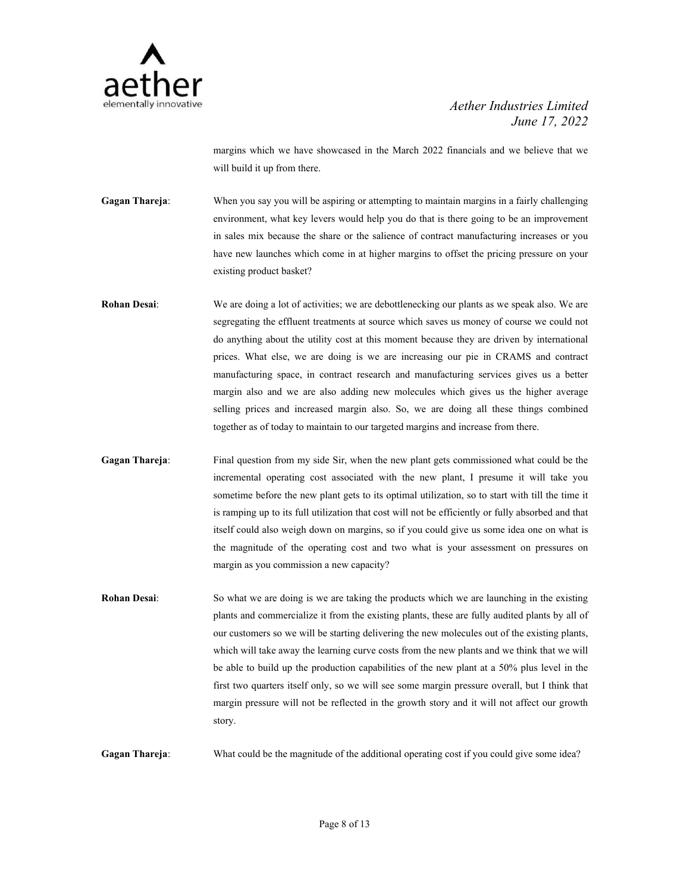

margins which we have showcased in the March 2022 financials and we believe that we will build it up from there.

**Gagan Thareja**: When you say you will be aspiring or attempting to maintain margins in a fairly challenging environment, what key levers would help you do that is there going to be an improvement in sales mix because the share or the salience of contract manufacturing increases or you have new launches which come in at higher margins to offset the pricing pressure on your existing product basket?

- **Rohan Desai:** We are doing a lot of activities; we are debottlenecking our plants as we speak also. We are segregating the effluent treatments at source which saves us money of course we could not do anything about the utility cost at this moment because they are driven by international prices. What else, we are doing is we are increasing our pie in CRAMS and contract manufacturing space, in contract research and manufacturing services gives us a better margin also and we are also adding new molecules which gives us the higher average selling prices and increased margin also. So, we are doing all these things combined together as of today to maintain to our targeted margins and increase from there.
- **Gagan Thareja**: Final question from my side Sir, when the new plant gets commissioned what could be the incremental operating cost associated with the new plant, I presume it willtake you sometime before the new plant gets to its optimal utilization, so to start with till the time it is ramping up to its full utilization that cost will not be efficiently or fully absorbed and that itself could also weigh down on margins, so if you could give us some idea one on what is the magnitude of the operating cost and two what is your assessment on pressures on margin as you commission a new capacity?
- **Rohan Desai:** So what we are doing is we are taking the products which we are launching in the existing plants and commercialize it from the existing plants, these are fully audited plants by all of our customers so we will be starting delivering the new molecules out of the existing plants, which will take away the learning curve costs from the new plants and we think that we will be able to build up the production capabilities of the new plant at a 50% plus level in the first two quarters itself only, so we will see some margin pressure overall, but I think that margin pressure will not be reflected in the growth story and it will not affect our growth story.

**Gagan Thareja**: What could be the magnitude of the additional operating cost if you could give some idea?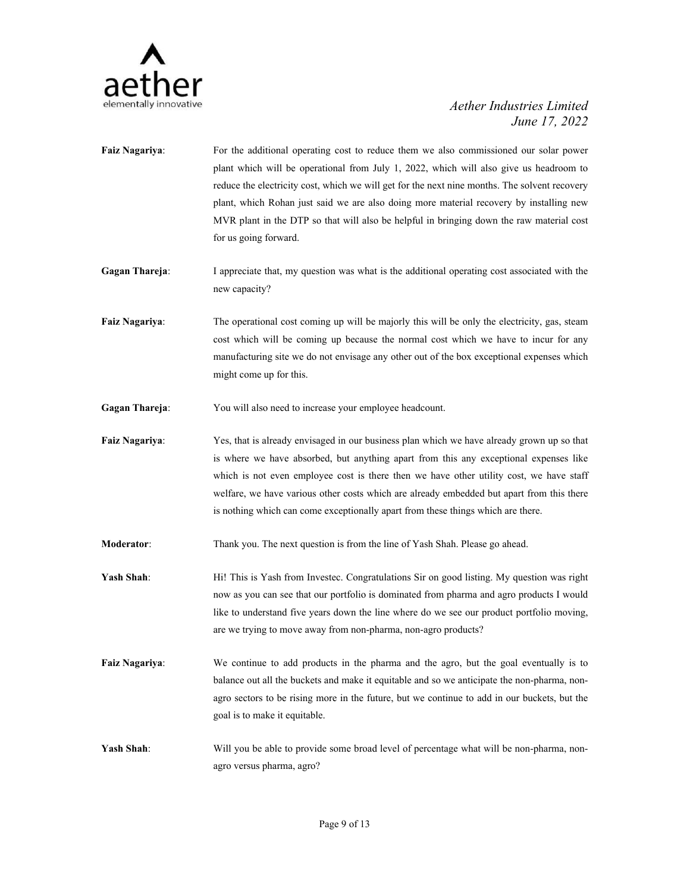

- **Faiz Nagariya:** For the additional operating cost to reduce them we also commissioned our solar power plant which will be operational from July 1, 2022, which will also give us headroom to reduce the electricity cost, which we will get for the next nine months. The solvent recovery plant, which Rohan just said we are also doing more material recovery by installing new MVR plant in the DTP so that will also be helpful in bringing down the raw material cost for us going forward.
- **Gagan Thareja**: I appreciate that, my question was what is the additional operating cost associated with the new capacity?
- **Faiz Nagariya:** The operational cost coming up will be majorly this will be only the electricity, gas, steam cost which will be coming up because the normal cost which we have to incur for any manufacturing site we do not envisage any other out of the box exceptional expenses which might come up for this.
- **Gagan Thareja:** You will also need to increase your employee headcount.
- **Faiz Nagariya**: Yes, that is already envisaged in our business plan which we have already grown up so that is where we have absorbed, but anything apart from this any exceptional expenses like which is not even employee cost is there then we have other utility cost, we have staff welfare, we have various other costs which are already embedded but apart from this there is nothing which can come exceptionally apart from these things which are there.
- **Moderator**: Thank you. The next question is from the line of Yash Shah. Please go ahead.
- **Yash Shah**: Hi! This is Yash from Investec. Congratulations Sir on good listing. My question was right now as you can see that our portfolio is dominated from pharma and agro products I would like to understand five years down the line where do we see our product portfolio moving, are we trying to move away from non-pharma, non-agro products?
- **Faiz Nagariya**: We continue to add products in the pharma and the agro, but the goal eventually is to balance out all the buckets and make it equitable and so we anticipate the non-pharma, non agro sectors to be rising more in the future, but we continue to add in our buckets, but the goal is to make it equitable.
- **Yash Shah**: Will you be able to provide some broad level of percentage what will be non-pharma, non agro versus pharma, agro?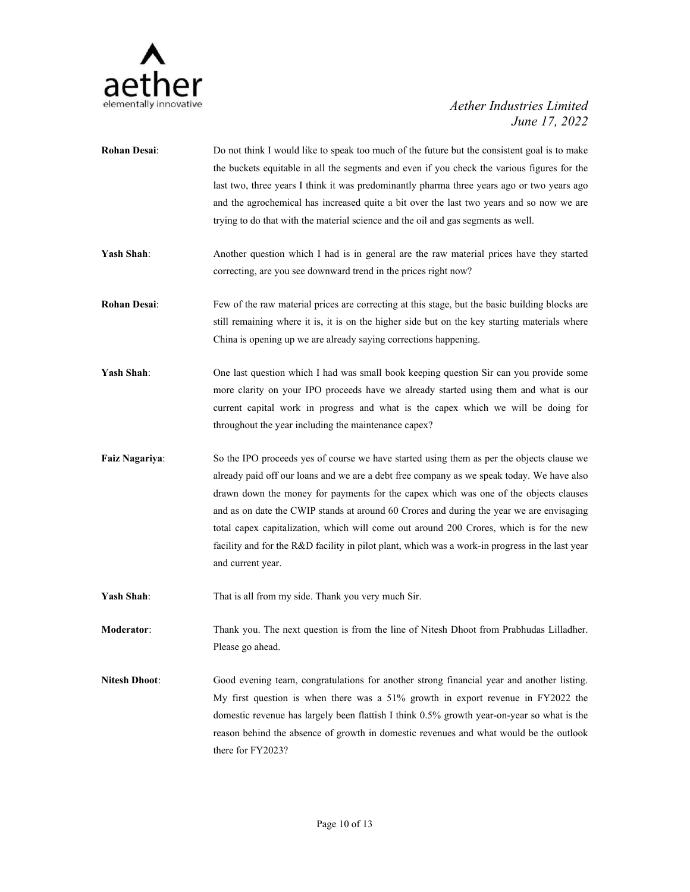

- **Rohan Desai:** Do not think I would like to speak too much of the future but the consistent goal is to make the buckets equitable in all the segments and even if you check the various figures for the last two, three years I think it was predominantly pharma three years ago or two years ago and the agrochemical has increased quite a bit over the last two years and so now we are trying to do that with the material science and the oil and gas segments as well.
- **Yash Shah**: Another question which I had is in general are the raw material prices have they started correcting, are you see downward trend in the prices right now?
- **Rohan Desai:** Few of the raw material prices are correcting at this stage, but the basic building blocks are still remaining where it is, it is on the higher side but on the key starting materials where China is opening up we are already saying corrections happening.
- **Yash Shah**: One last question which I had was small book keeping question Sir can you provide some more clarity on your IPO proceeds have we already started using them and what is our current capital work in progress and what is the capex which we will be doing for throughout the year including the maintenance capex?
- **Faiz Nagariya:** So the IPO proceeds yes of course we have started using them as per the objects clause we already paid off our loans and we are a debt free company as we speak today. We have also drawn down the money for payments for the capex which was one of the objects clauses and as on date the CWIP stands at around 60 Crores and during the year we are envisaging total capex capitalization, which will come out around 200 Crores, which is for the new facility and for the R&D facility in pilot plant, which was a work-in progress in the last year and current year.
- Yash Shah: That is all from my side. Thank you very much Sir.

**Moderator**: Thank you. The next question is from the line of Nitesh Dhoot from Prabhudas Lilladher. Please go ahead.

**Nitesh Dhoot**: Good evening team, congratulations for another strong financial year and another listing. My first question is when there was a 51% growth in export revenue in FY2022 the domestic revenue has largely been flattish I think 0.5% growth year-on-year so what is the reason behind the absence of growth in domestic revenues and what would be the outlook there for FY2023?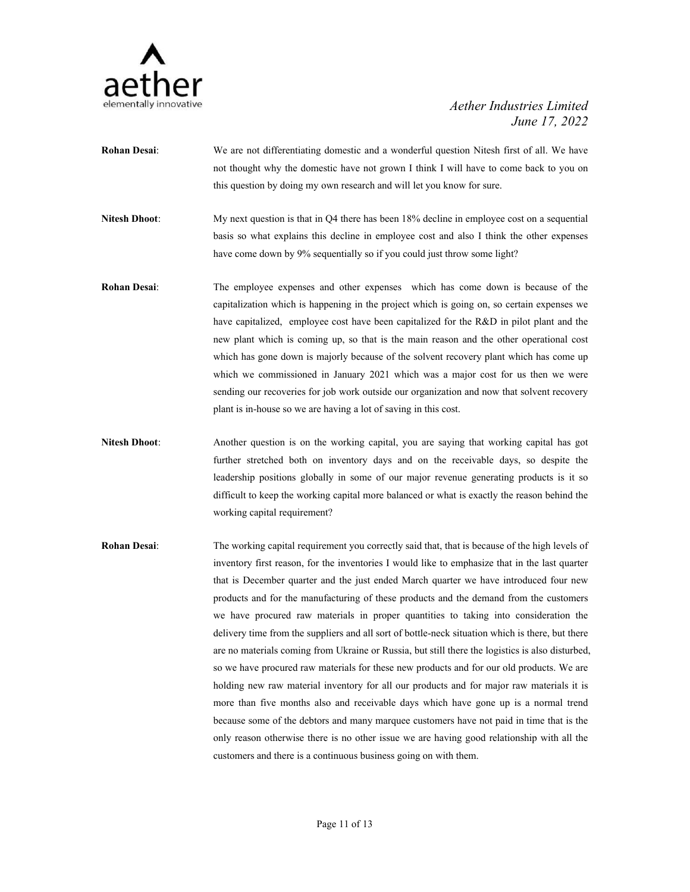

- **Rohan Desai**: We are not differentiating domestic and a wonderful question Nitesh first of all. We have not thought why the domestic have not grown I think I will have to come back to you on this question by doing my own research and will let you know for sure.
- **Nitesh Dhoot**: My next question is that in Q4 there has been 18% decline in employee cost on a sequential basis so what explains this decline in employee cost and also I think the other expenses have come down by 9% sequentially so if you could just throw some light?
- **Rohan Desai**: The employee expenses and other expenses which has come down is because of the capitalization which is happening in the projectwhich is going on, so certain expenses we have capitalized, employee cost have been capitalized for the R&D in pilot plant and the new plant which is coming up, so that is the main reason and the other operational cost which has gone down is majorly because of the solvent recovery plant which has come up which we commissioned in January 2021 which was a major cost for us then we were sending our recoveries for job work outside our organization and now that solvent recovery plant is in-house so we are having a lot of saving in this cost.
- **Nitesh Dhoot**: Another question is on the working capital, you are saying that working capital has got further stretched both on inventory days and on the receivable days, so despite the leadership positions globally in some of our major revenue generating products is it so difficult to keep the working capital more balanced or what is exactly the reason behind the working capital requirement?
- **Rohan Desai**: The working capital requirement you correctly said that, that is because of the high levels of inventory first reason, for the inventories I would like to emphasize that in the last quarter that is December quarter and the just ended March quarterwe have introduced four new products and for the manufacturing of these products and the demand from the customers we have procured raw materials in proper quantities to taking into consideration the delivery time from the suppliers and all sort of bottle-neck situation which is there, but there are no materials coming from Ukraine or Russia, but still there the logistics is also disturbed, so we have procured raw materials for these new products and for our old products. We are holding new raw material inventory for all our products and for major raw materials it is more than five months also and receivable days which have gone up is a normal trend because some of the debtors and many marquee customers have not paid in time that is the only reason otherwise there is no other issue we are having good relationship with all the customers and there is a continuous business going on with them.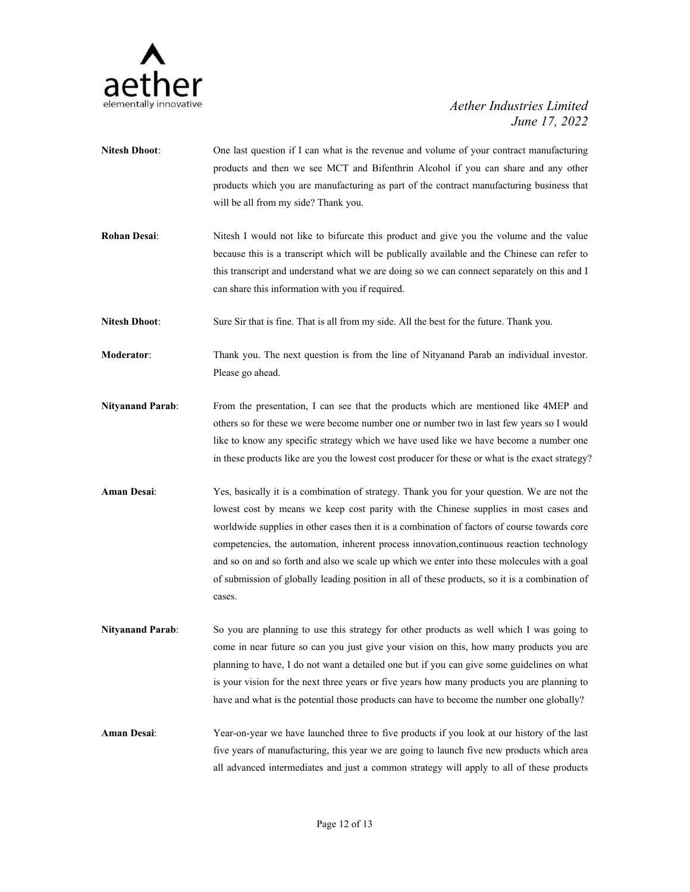

- **Nitesh Dhoot**: One last question if I can what is the revenue and volume of your contract manufacturing products and then we see MCT and Bifenthrin Alcohol if you can share and any other products which you are manufacturing as part of the contract manufacturing business that will be all from my side? Thank you.
- **Rohan Desai:** Nitesh I would not like to bifurcate this product and give you the volume and the value because this is a transcript which will be publically available and the Chinese can refer to this transcript and understand what we are doing so we can connect separately on this and I can share this information with you if required.

**Nitesh Dhoot:** Sure Sir that is fine. That is all from my side. All the best for the future. Thank you.

**Moderator**: Thank you. The next question is from the line of Nityanand Parab an individual investor. Please go ahead.

- **Nityanand Parab**: From the presentation, I can see that the products which are mentioned like 4MEP and others so for these we were become number one or number two in last few years so I would like to know any specific strategy which we have used like we have become a number one in these products like are you the lowest cost producer for these or what is the exact strategy?
- **Aman Desai**: Yes, basically it is a combination of strategy. Thank you for your question. We are notthe lowest cost by means we keep cost parity with the Chinese supplies in most cases and worldwide supplies in other cases then it is a combination of factors of course towards core competencies, the automation, inherent process innovation,continuous reaction technology and so on and so forth and also we scale up which we enter into these molecules with a goal of submission of globally leading position in all of these products, so it is a combination of cases.
- **Nityanand Parab:** So you are planning to use this strategy for other products as well which I was going to come in near future so can you just give your vision on this, how many products you are planning to have, I do not want a detailed one but if you can give some guidelines on what is your vision for the next three years or five years how many products you are planning to have and what is the potential those products can have to become the number one globally?

**Aman Desai**: Year-on-year we have launched three to five products if you look at our history of the last five years of manufacturing, this year we are going to launch five new products which area all advanced intermediates and just a common strategy will apply to all of these products